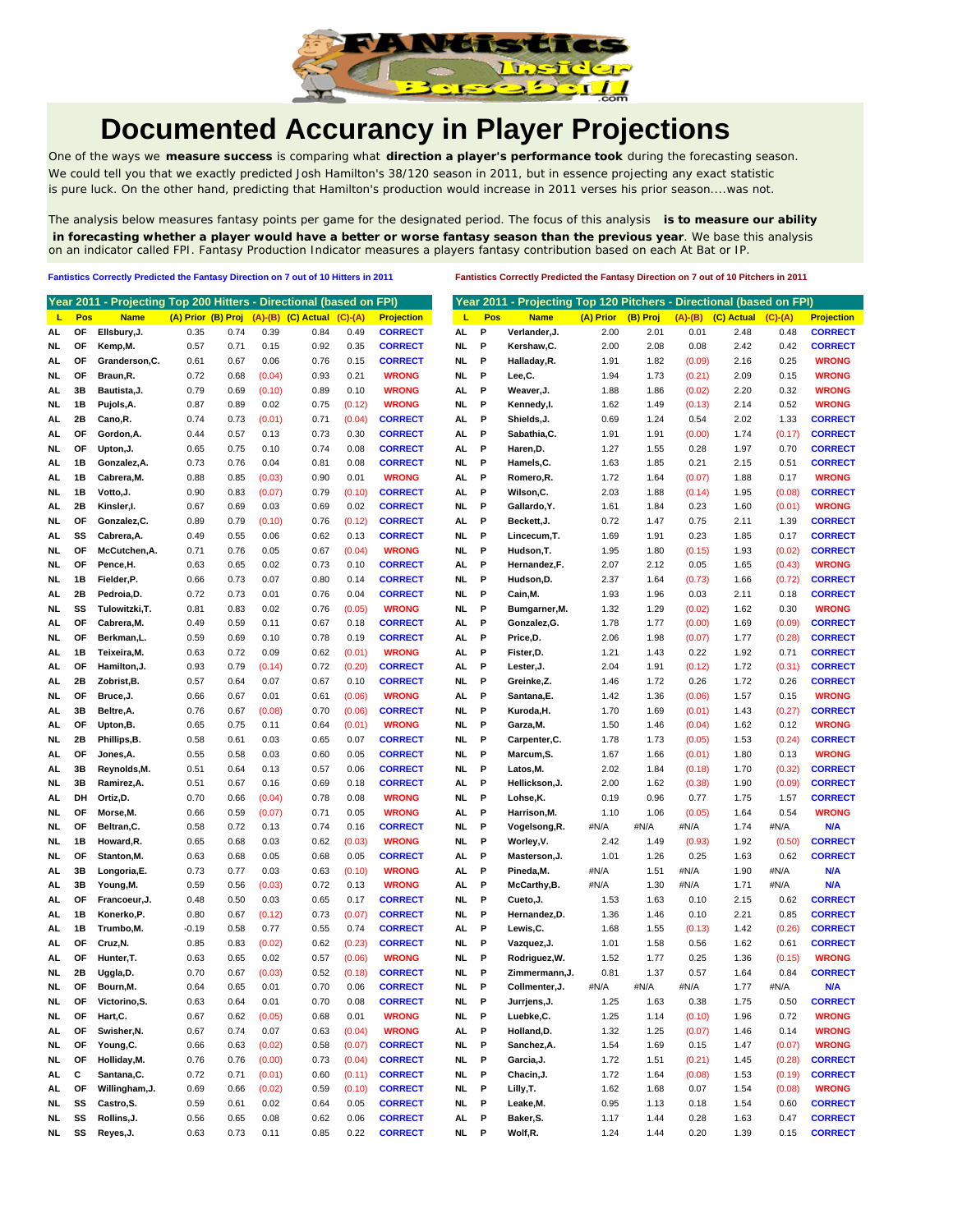

## **Documented Accurancy in Player Projections**

One of the ways we **measure success** is comparing what **direction a player's performance took** during the forecasting season. We could tell you that we exactly predicted Josh Hamilton's 38/120 season in 2011, but in essence projecting any exact statistic is pure luck. On the other hand, predicting that Hamilton's production would increase in 2011 verses his prior season....was not.

The analysis below measures fantasy points per game for the designated period. The focus of this analysis **is to measure our ability in forecasting whether a player would have a better or worse fantasy season than the previous year**. We base this analysis on an indicator called FPI. Fantasy Production Indicator measures a players fantasy contribution based on each At Bat or IP.

**Fantistics Correctly Predicted the Fantasy Direction on 7 out of 10 Hitters in 2011 Fantistics Correctly Predicted the Fantasy Direction on 7 out of 10 Pitchers in 2011**

|           |     | Year 2011 - Projecting Top 200 Hitters - Directional (based on FPI) |                    |      |        |                            |           |                   |           |     | Year 2011 - Projecting Top 120 Pitchers - Directional (based on FPI) |           |          |        |                            |           |  |
|-----------|-----|---------------------------------------------------------------------|--------------------|------|--------|----------------------------|-----------|-------------------|-----------|-----|----------------------------------------------------------------------|-----------|----------|--------|----------------------------|-----------|--|
| ц         | Pos | <b>Name</b>                                                         | (A) Prior (B) Proj |      |        | $(A)$ - $(B)$ $(C)$ Actual | $(C)-(A)$ | <b>Projection</b> | L         | Pos | <b>Name</b>                                                          | (A) Prior | (B) Proj |        | $(A)$ - $(B)$ $(C)$ Actual | $(C)-(A)$ |  |
| AL.       | ΟF  | Ellsbury, J.                                                        | 0.35               | 0.74 | 0.39   | 0.84                       | 0.49      | <b>CORRECT</b>    | AL        | P   | Verlander, J.                                                        | 2.00      | 2.01     | 0.01   | 2.48                       | 0.48      |  |
| NL        | ΟF  | Kemp,M.                                                             | 0.57               | 0.71 | 0.15   | 0.92                       | 0.35      | <b>CORRECT</b>    | NL.       | P   | Kershaw, C.                                                          | 2.00      | 2.08     | 0.08   | 2.42                       | 0.42      |  |
| AL        | OF  | Granderson, C.                                                      | 0.61               | 0.67 | 0.06   | 0.76                       | 0.15      | <b>CORRECT</b>    | NL.       | P   | Halladay, R.                                                         | 1.91      | 1.82     | (0.09) | 2.16                       | 0.25      |  |
| NL        | OF  | Braun,R.                                                            | 0.72               | 0.68 | (0.04) | 0.93                       | 0.21      | <b>WRONG</b>      | NL.       | P   | Lee,C.                                                               | 1.94      | 1.73     | (0.21) | 2.09                       | 0.15      |  |
| AL        | 3B  | Bautista, J.                                                        | 0.79               | 0.69 | (0.10) | 0.89                       | 0.10      | <b>WRONG</b>      | AL        | P   | Weaver, J.                                                           | 1.88      | 1.86     | (0.02) | 2.20                       | 0.32      |  |
| NL        | 1В  | Pujols, A.                                                          | 0.87               | 0.89 | 0.02   | 0.75                       | (0.12)    | <b>WRONG</b>      | <b>NL</b> | P   | Kennedy,I.                                                           | 1.62      | 1.49     | (0.13) | 2.14                       | 0.52      |  |
| AL        | 2Β  | Cano, R.                                                            | 0.74               | 0.73 | (0.01) | 0.71                       | (0.04)    | <b>CORRECT</b>    | AL        | P   | Shields, J.                                                          | 0.69      | 1.24     | 0.54   | 2.02                       | 1.33      |  |
| AL        | ОF  | Gordon, A.                                                          | 0.44               | 0.57 | 0.13   | 0.73                       | 0.30      | <b>CORRECT</b>    | AL        | P   | Sabathia, C.                                                         | 1.91      | 1.91     | (0.00) | 1.74                       | (0.17)    |  |
| NL        | ΟF  | Upton, J.                                                           | 0.65               | 0.75 | 0.10   | 0.74                       | 0.08      | <b>CORRECT</b>    | AL.       | P   | Haren, D.                                                            | 1.27      | 1.55     | 0.28   | 1.97                       | 0.70      |  |
| AL        | 1В  | Gonzalez, A.                                                        | 0.73               | 0.76 | 0.04   | 0.81                       | 0.08      | <b>CORRECT</b>    | NL.       | Р   | Hamels, C.                                                           | 1.63      | 1.85     | 0.21   | 2.15                       | 0.51      |  |
|           | 1В  | Cabrera, M.                                                         | 0.88               | 0.85 | (0.03) | 0.90                       | 0.01      | <b>WRONG</b>      | AL        | P   | Romero, R.                                                           | 1.72      | 1.64     | (0.07) | 1.88                       | 0.17      |  |
| AL        | 1В  |                                                                     | 0.90               |      | (0.07) | 0.79                       |           | <b>CORRECT</b>    | AL.       | P   | Wilson,C.                                                            | 2.03      | 1.88     |        | 1.95                       | (0.08)    |  |
| NL        |     | Votto, J.<br>Kinsler.I.                                             |                    | 0.83 |        |                            | (0.10)    |                   |           | P   |                                                                      |           |          | (0.14) |                            |           |  |
| AL        | 2Β  |                                                                     | 0.67               | 0.69 | 0.03   | 0.69                       | 0.02      | CORRECT           | NL.       |     | Gallardo, Y.                                                         | 1.61      | 1.84     | 0.23   | 1.60                       | (0.01)    |  |
| NL        | OF  | Gonzalez,C.                                                         | 0.89               | 0.79 | (0.10) | 0.76                       | (0.12)    | <b>CORRECT</b>    | AL        | P   | Beckett, J.                                                          | 0.72      | 1.47     | 0.75   | 2.11                       | 1.39      |  |
| AL        | SS  | Cabrera, A.                                                         | 0.49               | 0.55 | 0.06   | 0.62                       | 0.13      | <b>CORRECT</b>    | NL        | P   | Lincecum, T.                                                         | 1.69      | 1.91     | 0.23   | 1.85                       | 0.17      |  |
| NL        | OF  | McCutchen, A.                                                       | 0.71               | 0.76 | 0.05   | 0.67                       | (0.04)    | <b>WRONG</b>      | NL.       | P   | Hudson, T.                                                           | 1.95      | 1.80     | (0.15) | 1.93                       | (0.02)    |  |
| NL        | ΟF  | Pence,H.                                                            | 0.63               | 0.65 | 0.02   | 0.73                       | 0.10      | <b>CORRECT</b>    | AL        | P   | Hernandez,F.                                                         | 2.07      | 2.12     | 0.05   | 1.65                       | (0.43)    |  |
| NL        | 1B  | Fielder, P.                                                         | 0.66               | 0.73 | 0.07   | 0.80                       | 0.14      | <b>CORRECT</b>    | NL.       | P   | Hudson, D.                                                           | 2.37      | 1.64     | (0.73) | 1.66                       | (0.72)    |  |
| AL        | 2Β  | Pedroia,D.                                                          | 0.72               | 0.73 | 0.01   | 0.76                       | 0.04      | <b>CORRECT</b>    | NL        | P   | Cain, M.                                                             | 1.93      | 1.96     | 0.03   | 2.11                       | 0.18      |  |
| NL        | SS  | Tulowitzki, T.                                                      | 0.81               | 0.83 | 0.02   | 0.76                       | (0.05)    | <b>WRONG</b>      | NL.       | P   | Bumgarner, M.                                                        | 1.32      | 1.29     | (0.02) | 1.62                       | 0.30      |  |
| AL        | ΟF  | Cabrera, M.                                                         | 0.49               | 0.59 | 0.11   | 0.67                       | 0.18      | <b>CORRECT</b>    | AL        | P   | Gonzalez, G.                                                         | 1.78      | 1.77     | (0.00) | 1.69                       | (0.09)    |  |
| NL        | OF  | Berkman,L.                                                          | 0.59               | 0.69 | 0.10   | 0.78                       | 0.19      | <b>CORRECT</b>    | AL        | P   | Price,D.                                                             | 2.06      | 1.98     | (0.07) | 1.77                       | (0.28)    |  |
| AL        | 1В  | Teixeira, M.                                                        | 0.63               | 0.72 | 0.09   | 0.62                       | (0.01)    | <b>WRONG</b>      | AL        | P   | Fister, D.                                                           | 1.21      | 1.43     | 0.22   | 1.92                       | 0.71      |  |
| AL        | ΟF  | Hamilton,J.                                                         | 0.93               | 0.79 | (0.14) | 0.72                       | (0.20)    | <b>CORRECT</b>    | AL        | P   | Lester, J.                                                           | 2.04      | 1.91     | (0.12) | 1.72                       | (0.31)    |  |
| AL        | 2Β  | Zobrist, B.                                                         | 0.57               | 0.64 | 0.07   | 0.67                       | 0.10      | <b>CORRECT</b>    | NL.       | P   | Greinke,Z.                                                           | 1.46      | 1.72     | 0.26   | 1.72                       | 0.26      |  |
| NL        | OF  | Bruce, J.                                                           | 0.66               | 0.67 | 0.01   | 0.61                       | (0.06)    | <b>WRONG</b>      | AL        | Р   | Santana, E.                                                          | 1.42      | 1.36     | (0.06) | 1.57                       | 0.15      |  |
| AL        | 3B  | Beltre, A.                                                          | 0.76               | 0.67 | (0.08) | 0.70                       | (0.06)    | <b>CORRECT</b>    | NL        | P   | Kuroda, H.                                                           | 1.70      | 1.69     | (0.01) | 1.43                       | (0.27)    |  |
| AL        | ΟF  | Upton,B.                                                            | 0.65               | 0.75 | 0.11   | 0.64                       | (0.01)    | <b>WRONG</b>      | NL.       | P   | Garza, M.                                                            | 1.50      | 1.46     | (0.04) | 1.62                       | 0.12      |  |
| NL        | 2Β  | Phillips,B.                                                         | 0.58               | 0.61 | 0.03   | 0.65                       | 0.07      | CORRECT           | NL        | P   | Carpenter, C.                                                        | 1.78      | 1.73     | (0.05) | 1.53                       | (0.24)    |  |
| AL.       | OF  | Jones,A.                                                            | 0.55               | 0.58 | 0.03   | 0.60                       | 0.05      | <b>CORRECT</b>    | NL.       | P   | Marcum, S.                                                           | 1.67      | 1.66     | (0.01) | 1.80                       | 0.13      |  |
| AL        | 3B  | Reynolds,M.                                                         | 0.51               | 0.64 | 0.13   | 0.57                       | 0.06      | <b>CORRECT</b>    | NL        | P   | Latos, M.                                                            | 2.02      | 1.84     | (0.18) | 1.70                       | (0.32)    |  |
| NL        | 3B  | Ramirez, A.                                                         | 0.51               | 0.67 | 0.16   | 0.69                       | 0.18      | <b>CORRECT</b>    | AL        | P   | Hellickson, J.                                                       | 2.00      | 1.62     | (0.38) | 1.90                       | (0.09)    |  |
| AL        | DH  | Ortiz, D.                                                           | 0.70               | 0.66 | (0.04) | 0.78                       | 0.08      | <b>WRONG</b>      | NL.       | P   | Lohse,K.                                                             | 0.19      | 0.96     | 0.77   | 1.75                       | 1.57      |  |
| NL        | ΟF  | Morse, M.                                                           | 0.66               | 0.59 | (0.07) | 0.71                       | 0.05      | <b>WRONG</b>      | AL        | P   | Harrison, M.                                                         | 1.10      | 1.06     | (0.05) | 1.64                       | 0.54      |  |
| NL        | OF  | Beltran, C.                                                         | 0.58               | 0.72 | 0.13   | 0.74                       | 0.16      | <b>CORRECT</b>    | NL        | P   | Vogelsong, R.                                                        | #N/A      | #N/A     | #N/A   | 1.74                       | #N/A      |  |
| <b>NL</b> | 1B  | Howard, R.                                                          | 0.65               | 0.68 | 0.03   | 0.62                       | (0.03)    | <b>WRONG</b>      | NL.       | P   | Worley, V.                                                           | 2.42      | 1.49     | (0.93) | 1.92                       | (0.50)    |  |
| NL        | ΟF  | Stanton, M.                                                         | 0.63               | 0.68 | 0.05   | 0.68                       | 0.05      | <b>CORRECT</b>    | AL        | P   | Masterson, J.                                                        | 1.01      | 1.26     | 0.25   | 1.63                       | 0.62      |  |
| AL        | 3B  | Longoria,E.                                                         | 0.73               | 0.77 | 0.03   | 0.63                       | (0.10)    | <b>WRONG</b>      | AL        | P   | Pineda, M.                                                           | #N/A      | 1.51     | #N/A   | 1.90                       | #N/A      |  |
| AL.       | 3В  | Young, M.                                                           | 0.59               | 0.56 | (0.03) | 0.72                       | 0.13      | <b>WRONG</b>      | AL        | P   | McCarthy,B.                                                          | #N/A      | 1.30     | #N/A   | 1.71                       | #N/A      |  |
| AL        | OF  | Francoeur, J.                                                       | 0.48               | 0.50 | 0.03   | 0.65                       | 0.17      | <b>CORRECT</b>    | NL        | P   | Cueto, J.                                                            | 1.53      | 1.63     | 0.10   | 2.15                       | 0.62      |  |
| AL        | 1В  | Konerko, P.                                                         | 0.80               | 0.67 | (0.12) | 0.73                       | (0.07)    | <b>CORRECT</b>    | NL.       | P   | Hernandez, D.                                                        | 1.36      | 1.46     | 0.10   | 2.21                       | 0.85      |  |
| AL        | 1В  | Trumbo, M.                                                          | $-0.19$            | 0.58 | 0.77   | 0.55                       | 0.74      | <b>CORRECT</b>    | AL        | P   | Lewis,C.                                                             | 1.68      | 1.55     | (0.13) | 1.42                       | (0.26)    |  |
| AL.       | OF  | Cruz, N.                                                            | 0.85               | 0.83 | (0.02) | 0.62                       | (0.23)    | <b>CORRECT</b>    | NL.       | Р   | Vazquez, J.                                                          | 1.01      | 1.58     | 0.56   | 1.62                       | 0.61      |  |
| AL        | ΟF  | Hunter, T.                                                          | 0.63               | 0.65 | 0.02   | 0.57                       | (0.06)    | <b>WRONG</b>      | NL.       | P   | Rodriguez, W.                                                        | 1.52      | 1.77     | 0.25   | 1.36                       | (0.15)    |  |
| NL.       | 2Β  |                                                                     | 0.70               | 0.67 | (0.03) | 0.52                       | (0.18)    | <b>CORRECT</b>    | NL.       | Р   | Zimmermann, J.                                                       | 0.81      | 1.37     | 0.57   | 1.64                       | 0.84      |  |
| NL.       | OF  | Uggla,D.<br>Bourn, M.                                               |                    |      |        |                            |           | <b>CORRECT</b>    | ΝL        | Р   |                                                                      |           |          |        |                            | #N/A      |  |
|           |     |                                                                     | 0.64               | 0.65 | 0.01   | 0.70                       | 0.06      |                   |           |     | Collmenter, J.                                                       | #N/A      | #N/A     | #N/A   | 1.77                       |           |  |
| NL.       | OF  | Victorino, S.                                                       | 0.63               | 0.64 | 0.01   | 0.70                       | 0.08      | <b>CORRECT</b>    | NL        | P   | Jurrjens, J.                                                         | 1.25      | 1.63     | 0.38   | 1.75                       | 0.50      |  |
| NL        | ОF  | Hart, C.                                                            | 0.67               | 0.62 | (0.05) | 0.68                       | 0.01      | <b>WRONG</b>      | NL        | P   | Luebke, C.                                                           | 1.25      | 1.14     | (0.10) | 1.96                       | 0.72      |  |
| AL        | ОF  | Swisher, N.                                                         | 0.67               | 0.74 | 0.07   | 0.63                       | (0.04)    | <b>WRONG</b>      | AL        | P   | Holland, D.                                                          | 1.32      | 1.25     | (0.07) | 1.46                       | 0.14      |  |
| NL.       | ОF  | Young, C.                                                           | 0.66               | 0.63 | (0.02) | 0.58                       | (0.07)    | <b>CORRECT</b>    | NL.       | P   | Sanchez, A.                                                          | 1.54      | 1.69     | 0.15   | 1.47                       | (0.07)    |  |
| NL.       | ОF  | Holliday, M.                                                        | 0.76               | 0.76 | (0.00) | 0.73                       | (0.04)    | <b>CORRECT</b>    | NL.       | P   | Garcia, J.                                                           | 1.72      | 1.51     | (0.21) | 1.45                       | (0.28)    |  |
| AL.       | С   | Santana, C.                                                         | 0.72               | 0.71 | (0.01) | 0.60                       | (0.11)    | <b>CORRECT</b>    | <b>NL</b> | P   | Chacin, J.                                                           | 1.72      | 1.64     | (0.08) | 1.53                       | (0.19)    |  |
| AL.       | OF  | Willingham, J.                                                      | 0.69               | 0.66 | (0.02) | 0.59                       | (0.10)    | <b>CORRECT</b>    | NL.       | P   | Lilly,T.                                                             | 1.62      | 1.68     | 0.07   | 1.54                       | (0.08)    |  |
| NL.       | SS  | Castro, S.                                                          | 0.59               | 0.61 | 0.02   | 0.64                       | 0.05      | <b>CORRECT</b>    | NL.       | P   | Leake, M.                                                            | 0.95      | 1.13     | 0.18   | 1.54                       | 0.60      |  |
| NL.       | SS  | Rollins, J.                                                         | 0.56               | 0.65 | 0.08   | 0.62                       | 0.06      | <b>CORRECT</b>    | AL .      | P   | Baker, S.                                                            | 1.17      | 1.44     | 0.28   | 1.63                       | 0.47      |  |
| NL.       | SS  | Reyes, J.                                                           | 0.63               | 0.73 | 0.11   | 0.85                       | 0.22      | <b>CORRECT</b>    | NL P      |     | Wolf, R.                                                             | 1.24      | 1.44     | 0.20   | 1.39                       | 0.15      |  |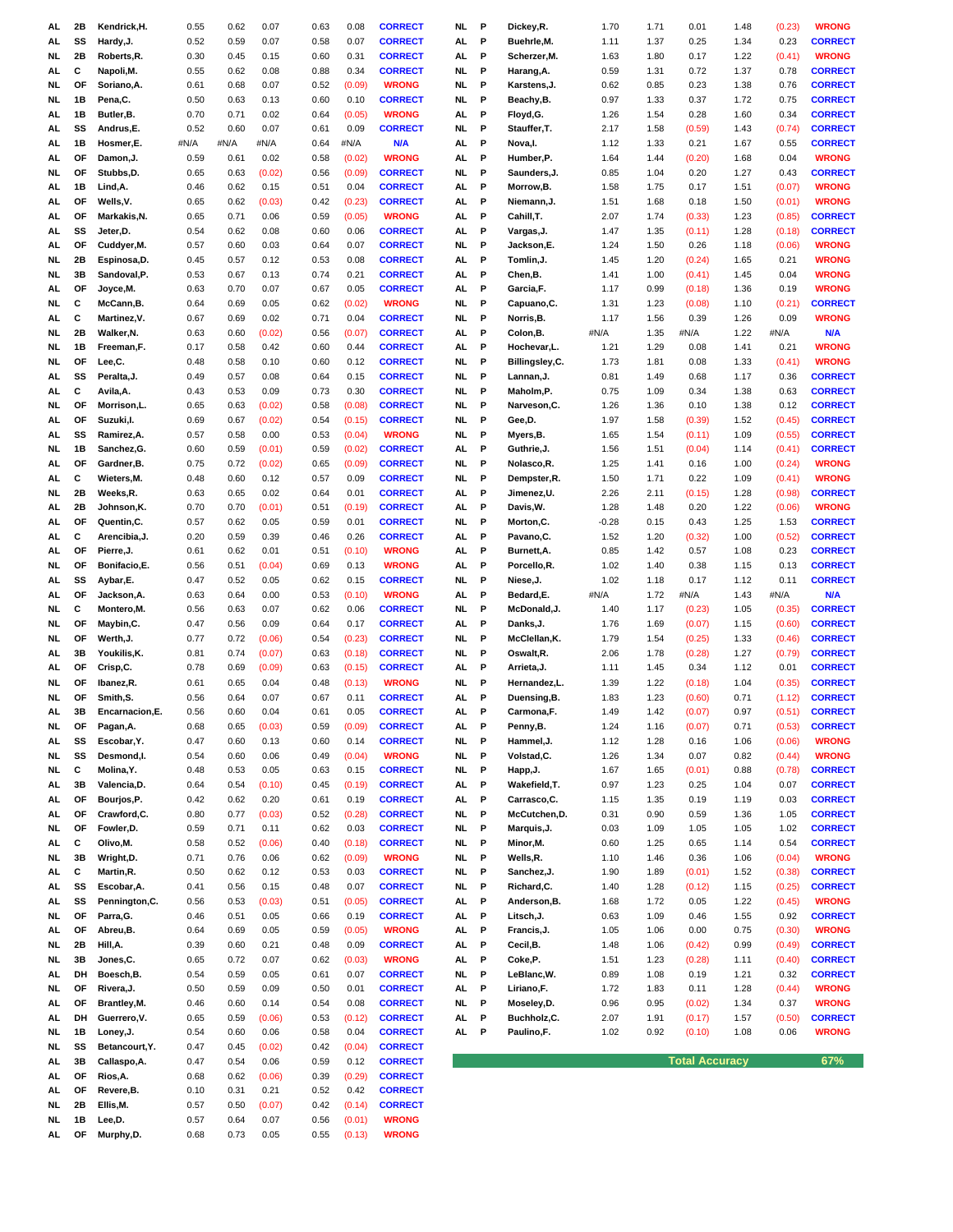| AL  | 2Β | Kendrick, H.   | 0.55 | 0.62 | 0.07   | 0.63 | 0.08   | <b>CORRECT</b> | <b>NL</b> | P | Dickey, R.     | 1.70    | 1.71 | 0.01                  | 1.48 | (0.23) | <b>WRONG</b>   |
|-----|----|----------------|------|------|--------|------|--------|----------------|-----------|---|----------------|---------|------|-----------------------|------|--------|----------------|
|     |    |                |      |      |        |      |        |                |           |   |                |         |      |                       |      |        |                |
| AL  | SS | Hardy, J.      | 0.52 | 0.59 | 0.07   | 0.58 | 0.07   | <b>CORRECT</b> | AL        | P | Buehrle, M.    | 1.11    | 1.37 | 0.25                  | 1.34 | 0.23   | <b>CORRECT</b> |
| NL  | 2Β | Roberts, R.    | 0.30 | 0.45 | 0.15   | 0.60 | 0.31   | <b>CORRECT</b> | AL        | P | Scherzer, M.   | 1.63    | 1.80 | 0.17                  | 1.22 | (0.41) | <b>WRONG</b>   |
| AL  | С  | Napoli, M.     | 0.55 | 0.62 | 0.08   | 0.88 | 0.34   | <b>CORRECT</b> | <b>NL</b> | P | Harang, A.     | 0.59    | 1.31 | 0.72                  | 1.37 | 0.78   | <b>CORRECT</b> |
| NL  | OF | Soriano, A.    | 0.61 | 0.68 | 0.07   | 0.52 | (0.09) | <b>WRONG</b>   | NL        | P | Karstens, J.   | 0.62    | 0.85 | 0.23                  | 1.38 | 0.76   | <b>CORRECT</b> |
| NL  | 1B | Pena,C.        | 0.50 | 0.63 | 0.13   | 0.60 | 0.10   | <b>CORRECT</b> | NL.       | P | Beachy,B.      | 0.97    | 1.33 | 0.37                  | 1.72 | 0.75   | <b>CORRECT</b> |
| AL  | 1B | Butler, B.     | 0.70 | 0.71 | 0.02   | 0.64 | (0.05) | <b>WRONG</b>   | AL        | P | Floyd,G.       | 1.26    | 1.54 | 0.28                  | 1.60 | 0.34   | <b>CORRECT</b> |
| AL  | SS | Andrus,E.      | 0.52 | 0.60 | 0.07   | 0.61 | 0.09   | <b>CORRECT</b> | <b>NL</b> | P | Stauffer, T.   | 2.17    | 1.58 | (0.59)                | 1.43 | (0.74) | <b>CORRECT</b> |
| AL  | 1B | Hosmer,E.      | #N/A | #N/A | #N/A   | 0.64 | #N/A   | N/A            | AL        | P | Nova, I.       | 1.12    | 1.33 | 0.21                  | 1.67 | 0.55   | <b>CORRECT</b> |
|     |    |                |      |      |        |      |        |                |           |   |                |         |      |                       |      |        |                |
| AL  | OF | Damon, J.      | 0.59 | 0.61 | 0.02   | 0.58 | (0.02) | <b>WRONG</b>   | AL        | P | Humber,P.      | 1.64    | 1.44 | (0.20)                | 1.68 | 0.04   | <b>WRONG</b>   |
| NL  | ОF | Stubbs, D.     | 0.65 | 0.63 | (0.02) | 0.56 | (0.09) | <b>CORRECT</b> | NL.       | P | Saunders,J.    | 0.85    | 1.04 | 0.20                  | 1.27 | 0.43   | <b>CORRECT</b> |
| AL  | 1B | Lind, A.       | 0.46 | 0.62 | 0.15   | 0.51 | 0.04   | <b>CORRECT</b> | AL.       | P | Morrow, B.     | 1.58    | 1.75 | 0.17                  | 1.51 | (0.07) | <b>WRONG</b>   |
| AL  | OF | Wells, V.      | 0.65 | 0.62 | (0.03) | 0.42 | (0.23) | <b>CORRECT</b> | AL        | P | Niemann, J.    | 1.51    | 1.68 | 0.18                  | 1.50 | (0.01) | <b>WRONG</b>   |
| AL  | OF | Markakis, N.   | 0.65 | 0.71 | 0.06   | 0.59 | (0.05) | <b>WRONG</b>   | AL        | P | Cahill,T.      | 2.07    | 1.74 | (0.33)                | 1.23 | (0.85) | <b>CORRECT</b> |
| AL  | SS | Jeter,D.       | 0.54 | 0.62 | 0.08   | 0.60 | 0.06   | <b>CORRECT</b> | AL        | P | Vargas, J.     | 1.47    | 1.35 | (0.11)                | 1.28 | (0.18) | <b>CORRECT</b> |
|     | OF |                | 0.57 |      | 0.03   | 0.64 |        | <b>CORRECT</b> | NL.       | P |                |         | 1.50 |                       |      |        | <b>WRONG</b>   |
| AL  |    | Cuddyer, M.    |      | 0.60 |        |      | 0.07   |                |           |   | Jackson,E.     | 1.24    |      | 0.26                  | 1.18 | (0.06) |                |
| NL  | 2Β | Espinosa,D.    | 0.45 | 0.57 | 0.12   | 0.53 | 0.08   | <b>CORRECT</b> | AL        | P | Tomlin, J.     | 1.45    | 1.20 | (0.24)                | 1.65 | 0.21   | WRONG          |
| NL  | 3В | Sandoval, P.   | 0.53 | 0.67 | 0.13   | 0.74 | 0.21   | <b>CORRECT</b> | AL        | P | Chen,B.        | 1.41    | 1.00 | (0.41)                | 1.45 | 0.04   | <b>WRONG</b>   |
| AL  | ОF | Joyce, M.      | 0.63 | 0.70 | 0.07   | 0.67 | 0.05   | <b>CORRECT</b> | AL        | P | Garcia,F.      | 1.17    | 0.99 | (0.18)                | 1.36 | 0.19   | <b>WRONG</b>   |
| NL  | С  | McCann,B.      | 0.64 | 0.69 | 0.05   | 0.62 | (0.02) | <b>WRONG</b>   | NL.       | P | Capuano,C.     | 1.31    | 1.23 | (0.08)                | 1.10 | (0.21) | <b>CORRECT</b> |
| AL  | c  | Martinez, V.   | 0.67 | 0.69 | 0.02   | 0.71 | 0.04   | <b>CORRECT</b> | NL.       | P | Norris, B.     | 1.17    | 1.56 | 0.39                  | 1.26 | 0.09   | <b>WRONG</b>   |
| NL  | 2Β | Walker, N.     | 0.63 | 0.60 | (0.02) | 0.56 | (0.07) | <b>CORRECT</b> | AL        | P | Colon, B.      | #N/A    | 1.35 | #N/A                  | 1.22 | #N/A   | <b>N/A</b>     |
|     |    |                |      |      |        |      |        |                |           |   |                |         |      |                       |      |        |                |
| NL. | 1B | Freeman.F.     | 0.17 | 0.58 | 0.42   | 0.60 | 0.44   | <b>CORRECT</b> | AL.       | P | Hochevar,L.    | 1.21    | 1.29 | 0.08                  | 1.41 | 0.21   | <b>WRONG</b>   |
| NL  | OF | Lee,C.         | 0.48 | 0.58 | 0.10   | 0.60 | 0.12   | <b>CORRECT</b> | NL.       | P | Billingsley,C. | 1.73    | 1.81 | 0.08                  | 1.33 | (0.41) | <b>WRONG</b>   |
| AL  | SS | Peralta, J.    | 0.49 | 0.57 | 0.08   | 0.64 | 0.15   | <b>CORRECT</b> | <b>NL</b> | P | Lannan, J.     | 0.81    | 1.49 | 0.68                  | 1.17 | 0.36   | <b>CORRECT</b> |
| AL  | С  | Avila, A.      | 0.43 | 0.53 | 0.09   | 0.73 | 0.30   | <b>CORRECT</b> | <b>NL</b> | P | Maholm,P       | 0.75    | 1.09 | 0.34                  | 1.38 | 0.63   | <b>CORRECT</b> |
| NL  | OF | Morrison,L.    | 0.65 | 0.63 | (0.02) | 0.58 | (0.08) | <b>CORRECT</b> | NL.       | P | Narveson, C.   | 1.26    | 1.36 | 0.10                  | 1.38 | 0.12   | <b>CORRECT</b> |
| AL  | ΟF | Suzuki,I.      | 0.69 | 0.67 | (0.02) | 0.54 | (0.15) | <b>CORRECT</b> | NL.       | P | Gee,D.         | 1.97    | 1.58 | (0.39)                | 1.52 | (0.45) | <b>CORRECT</b> |
|     | SS | Ramirez, A.    | 0.57 |      | 0.00   | 0.53 | (0.04) | <b>WRONG</b>   | <b>NL</b> | P | Myers, B.      | 1.65    | 1.54 | (0.11)                | 1.09 |        | <b>CORRECT</b> |
| AL  |    |                |      | 0.58 |        |      |        |                |           |   |                |         |      |                       |      | (0.55) |                |
| NL. | 1B | Sanchez, G.    | 0.60 | 0.59 | (0.01) | 0.59 | (0.02) | <b>CORRECT</b> | AL        | P | Guthrie, J.    | 1.56    | 1.51 | (0.04)                | 1.14 | (0.41) | <b>CORRECT</b> |
| AL  | ΟF | Gardner.B.     | 0.75 | 0.72 | (0.02) | 0.65 | (0.09) | <b>CORRECT</b> | NL.       | P | Nolasco, R.    | 1.25    | 1.41 | 0.16                  | 1.00 | (0.24) | <b>WRONG</b>   |
| AL  | С  | Wieters, M.    | 0.48 | 0.60 | 0.12   | 0.57 | 0.09   | <b>CORRECT</b> | NL.       | P | Dempster,R.    | 1.50    | 1.71 | 0.22                  | 1.09 | (0.41) | <b>WRONG</b>   |
| NL  | 2Β | Weeks,R.       | 0.63 | 0.65 | 0.02   | 0.64 | 0.01   | <b>CORRECT</b> | AL        | P | Jimenez,U.     | 2.26    | 2.11 | (0.15)                | 1.28 | (0.98) | <b>CORRECT</b> |
| AL  | 2Β | Johnson,K.     | 0.70 | 0.70 | (0.01) | 0.51 | (0.19) | <b>CORRECT</b> | AL        | P | Davis, W.      | 1.28    | 1.48 | 0.20                  | 1.22 | (0.06) | <b>WRONG</b>   |
| AL  | OF | Quentin, C.    | 0.57 | 0.62 | 0.05   | 0.59 | 0.01   | <b>CORRECT</b> | <b>NL</b> | P | Morton, C.     | $-0.28$ | 0.15 | 0.43                  | 1.25 | 1.53   | <b>CORRECT</b> |
|     | c  |                | 0.20 | 0.59 | 0.39   | 0.46 | 0.26   | <b>CORRECT</b> |           | P |                | 1.52    |      |                       | 1.00 |        | <b>CORRECT</b> |
| AL  |    | Arencibia, J.  |      |      |        |      |        |                | AL        |   | Pavano, C.     |         | 1.20 | (0.32)                |      | (0.52) |                |
| AL  | OF | Pierre, J.     | 0.61 | 0.62 | 0.01   | 0.51 | (0.10) | <b>WRONG</b>   | AL        | P | Burnett, A.    | 0.85    | 1.42 | 0.57                  | 1.08 | 0.23   | <b>CORRECT</b> |
| NL  | OF | Bonifacio, E.  | 0.56 | 0.51 | (0.04) | 0.69 | 0.13   | <b>WRONG</b>   | AL        | P | Porcello,R.    | 1.02    | 1.40 | 0.38                  | 1.15 | 0.13   | <b>CORRECT</b> |
| AL  | SS | Aybar,E.       | 0.47 | 0.52 | 0.05   | 0.62 | 0.15   | <b>CORRECT</b> | NL.       | P | Niese, J.      | 1.02    | 1.18 | 0.17                  | 1.12 | 0.11   | <b>CORRECT</b> |
| AL  | OF | Jackson, A.    | 0.63 | 0.64 | 0.00   | 0.53 | (0.10) | <b>WRONG</b>   | AL.       | P | Bedard,E.      | #N/A    | 1.72 | #N/A                  | 1.43 | #N/A   | N/A            |
| NL  | С  | Montero, M.    | 0.56 | 0.63 | 0.07   | 0.62 | 0.06   | <b>CORRECT</b> | NL.       | P | McDonald, J.   | 1.40    | 1.17 | (0.23)                | 1.05 | (0.35) | <b>CORRECT</b> |
| NL  | OF | Maybin, C.     | 0.47 | 0.56 | 0.09   | 0.64 | 0.17   | <b>CORRECT</b> | AL        | P | Danks, J.      | 1.76    | 1.69 | (0.07)                | 1.15 | (0.60) | <b>CORRECT</b> |
| NL  | OF | Werth, J.      | 0.77 | 0.72 | (0.06) | 0.54 | (0.23) | <b>CORRECT</b> | <b>NL</b> | P | McClellan, K.  | 1.79    | 1.54 | (0.25)                | 1.33 | (0.46) | <b>CORRECT</b> |
|     |    |                |      |      |        |      |        |                |           |   |                |         |      |                       |      |        |                |
| AL  | 3В | Youkilis, K.   | 0.81 | 0.74 | (0.07) | 0.63 | (0.18) | <b>CORRECT</b> | NL.       | P | Oswalt, R.     | 2.06    | 1.78 | (0.28)                | 1.27 | (0.79) | <b>CORRECT</b> |
| AL  | ΟF | Crisp, C.      | 0.78 | 0.69 | (0.09) | 0.63 | (0.15) | <b>CORRECT</b> | AL.       | P | Arrieta, J.    | 1.11    | 1.45 | 0.34                  | 1.12 | 0.01   | <b>CORRECT</b> |
| NL. | ΟF | Ibanez, R.     | 0.61 |      | 0.04   | 0.48 | (0.13) | <b>WRONG</b>   |           | P | Hernandez, L.  | 1.39    |      | (0.18)                | 1.04 | (0.35) | <b>CORRECT</b> |
| NL  | ΟF | Smith.S.       |      | 0.65 |        |      |        |                | NL        |   |                |         | 1.22 |                       |      |        | <b>CORRECT</b> |
| AL  | 3В |                | 0.56 | 0.64 | 0.07   | 0.67 | 0.11   | <b>CORRECT</b> | AL        | P | Duensing, B.   | 1.83    | 1.23 | (0.60)                | 0.71 | (1.12) | <b>CORRECT</b> |
| NL  | OF | Encarnacion.E. |      | 0.60 | 0.04   | 0.61 | 0.05   | <b>CORRECT</b> | AL        | P | Carmona.F.     |         |      |                       |      |        |                |
| AL  |    |                | 0.56 |      |        |      |        |                |           |   |                | 1.49    | 1.42 | (0.07)                | 0.97 | (0.51) |                |
|     |    | Pagan, A.      | 0.68 | 0.65 | (0.03) | 0.59 | (0.09) | <b>CORRECT</b> | AL        | P | Penny,B.       | 1.24    | 1.16 | (0.07)                | 0.71 | (0.53) | <b>CORRECT</b> |
|     | SS | Escobar, Y.    | 0.47 | 0.60 | 0.13   | 0.60 | 0.14   | <b>CORRECT</b> | <b>NL</b> | P | Hammel, J.     | 1.12    | 1.28 | 0.16                  | 1.06 | (0.06) | <b>WRONG</b>   |
| NL. | SS | Desmond,I.     | 0.54 | 0.60 | 0.06   | 0.49 | (0.04) | <b>WRONG</b>   | NL        | P | Volstad, C.    | 1.26    | 1.34 | 0.07                  | 0.82 | (0.44) | <b>WRONG</b>   |
| NL. | c  | Molina, Y.     | 0.48 | 0.53 | 0.05   | 0.63 | 0.15   | <b>CORRECT</b> | <b>NL</b> | P | Happ, J.       | 1.67    | 1.65 | (0.01)                | 0.88 | (0.78) | <b>CORRECT</b> |
| AL. | 3B | Valencia, D.   | 0.64 | 0.54 | (0.10) | 0.45 | (0.19) | <b>CORRECT</b> | AL        | P | Wakefield, T.  | 0.97    | 1.23 | 0.25                  | 1.04 | 0.07   | <b>CORRECT</b> |
| AL  | OF | Bourjos,P.     | 0.42 | 0.62 | 0.20   | 0.61 | 0.19   | <b>CORRECT</b> | AL        | P | Carrasco, C.   | 1.15    | 1.35 | 0.19                  | 1.19 | 0.03   | <b>CORRECT</b> |
|     | ΟF | Crawford, C.   | 0.80 | 0.77 |        | 0.52 |        | <b>CORRECT</b> | <b>NL</b> | P | McCutchen,D.   | 0.31    | 0.90 | 0.59                  |      | 1.05   | <b>CORRECT</b> |
| AL. |    |                |      |      | (0.03) |      | (0.28) |                |           |   |                |         |      |                       | 1.36 |        |                |
| NL  | ΟF | Fowler, D.     | 0.59 | 0.71 | 0.11   | 0.62 | 0.03   | <b>CORRECT</b> | <b>NL</b> | P | Marquis, J.    | 0.03    | 1.09 | 1.05                  | 1.05 | 1.02   | <b>CORRECT</b> |
| AL. | С  | Olivo, M.      | 0.58 | 0.52 | (0.06) | 0.40 | (0.18) | <b>CORRECT</b> | <b>NL</b> | P | Minor, M.      | 0.60    | 1.25 | 0.65                  | 1.14 | 0.54   | <b>CORRECT</b> |
| NL  | 3B | Wright, D.     | 0.71 | 0.76 | 0.06   | 0.62 | (0.09) | <b>WRONG</b>   | NL        | P | Wells,R.       | 1.10    | 1.46 | 0.36                  | 1.06 | (0.04) | <b>WRONG</b>   |
| AL. | c  | Martin, R.     | 0.50 | 0.62 | 0.12   | 0.53 | 0.03   | <b>CORRECT</b> | NL        | P | Sanchez,J.     | 1.90    | 1.89 | (0.01)                | 1.52 | (0.38) | <b>CORRECT</b> |
| AL. | SS | Escobar, A.    | 0.41 | 0.56 | 0.15   | 0.48 | 0.07   | <b>CORRECT</b> | <b>NL</b> | P | Richard, C.    | 1.40    | 1.28 | (0.12)                | 1.15 | (0.25) | <b>CORRECT</b> |
| AL. | SS | Pennington, C. | 0.56 | 0.53 | (0.03) | 0.51 | (0.05) | <b>CORRECT</b> | AL        | P | Anderson, B.   | 1.68    | 1.72 | 0.05                  | 1.22 | (0.45) | <b>WRONG</b>   |
| NL  | ΟF | Parra, G.      | 0.46 | 0.51 | 0.05   | 0.66 | 0.19   | <b>CORRECT</b> | AL        | P | Litsch, J.     | 0.63    | 1.09 | 0.46                  | 1.55 | 0.92   | <b>CORRECT</b> |
|     | OF |                |      |      |        |      |        |                |           |   |                |         |      |                       |      |        |                |
| AL. |    | Abreu,B.       | 0.64 | 0.69 | 0.05   | 0.59 | (0.05) | <b>WRONG</b>   | <b>AL</b> | P | Francis, J.    | 1.05    | 1.06 | 0.00                  | 0.75 | (0.30) | <b>WRONG</b>   |
| NL  | 2B | Hill, A.       | 0.39 | 0.60 | 0.21   | 0.48 | 0.09   | <b>CORRECT</b> | AL        | P | Cecil, B.      | 1.48    | 1.06 | (0.42)                | 0.99 | (0.49) | <b>CORRECT</b> |
| NL. | 3B | Jones,C.       | 0.65 | 0.72 | 0.07   | 0.62 | (0.03) | <b>WRONG</b>   | AL        | P | Coke,P.        | 1.51    | 1.23 | (0.28)                | 1.11 | (0.40) | <b>CORRECT</b> |
| AL  | DH | Boesch, B.     | 0.54 | 0.59 | 0.05   | 0.61 | 0.07   | <b>CORRECT</b> | <b>NL</b> | P | LeBlanc, W.    | 0.89    | 1.08 | 0.19                  | 1.21 | 0.32   | <b>CORRECT</b> |
| NL  | ΟF | Rivera, J.     | 0.50 | 0.59 | 0.09   | 0.50 | 0.01   | <b>CORRECT</b> | AL        | P | Liriano, F.    | 1.72    | 1.83 | 0.11                  | 1.28 | (0.44) | <b>WRONG</b>   |
| AL. | ΟF | Brantley, M.   | 0.46 | 0.60 | 0.14   | 0.54 | 0.08   | <b>CORRECT</b> | <b>NL</b> | P | Moseley,D.     | 0.96    | 0.95 | (0.02)                | 1.34 | 0.37   | <b>WRONG</b>   |
| AL. | DH | Guerrero, V.   | 0.65 | 0.59 | (0.06) | 0.53 | (0.12) | <b>CORRECT</b> | AL        | P | Buchholz,C.    | 2.07    | 1.91 | (0.17)                | 1.57 | (0.50) | <b>CORRECT</b> |
|     |    |                |      |      |        |      |        |                |           |   |                |         |      |                       |      |        |                |
| NL. | 1B | Loney, J.      | 0.54 | 0.60 | 0.06   | 0.58 | 0.04   | <b>CORRECT</b> | AL        | P | Paulino, F.    | 1.02    | 0.92 | (0.10)                | 1.08 | 0.06   | <b>WRONG</b>   |
| NL  | SS | Betancourt, Y. | 0.47 | 0.45 | (0.02) | 0.42 | (0.04) | <b>CORRECT</b> |           |   |                |         |      |                       |      |        |                |
| AL  | 3В | Callaspo, A.   | 0.47 | 0.54 | 0.06   | 0.59 | 0.12   | <b>CORRECT</b> |           |   |                |         |      | <b>Total Accuracy</b> |      |        | 67%            |
| AL. | OF | Rios, A.       | 0.68 | 0.62 | (0.06) | 0.39 | (0.29) | <b>CORRECT</b> |           |   |                |         |      |                       |      |        |                |
| AL  | OF | Revere, B.     | 0.10 | 0.31 | 0.21   | 0.52 | 0.42   | <b>CORRECT</b> |           |   |                |         |      |                       |      |        |                |
| NL  | 2Β | Ellis, M.      | 0.57 | 0.50 | (0.07) | 0.42 | (0.14) | <b>CORRECT</b> |           |   |                |         |      |                       |      |        |                |

**AL OF Murphy,D.** 0.68 0.73 0.05 0.55 (0.13) **WRONG**